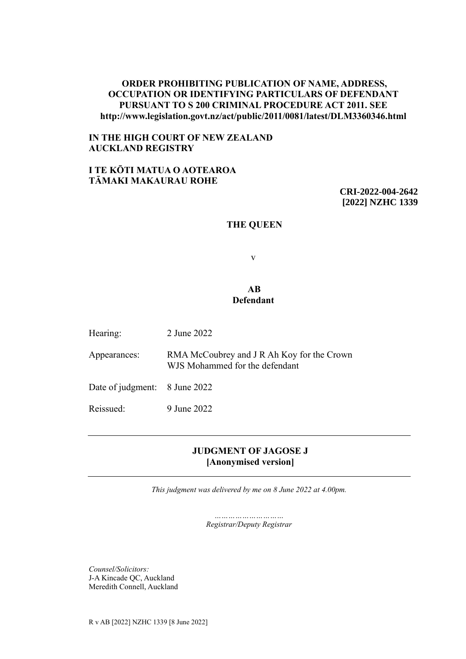## **ORDER PROHIBITING PUBLICATION OF NAME, ADDRESS, OCCUPATION OR IDENTIFYING PARTICULARS OF DEFENDANT PURSUANT TO S 200 CRIMINAL PROCEDURE ACT 2011. SEE http://www.legislation.govt.nz/act/public/2011/0081/latest/DLM3360346.html**

## **IN THE HIGH COURT OF NEW ZEALAND AUCKLAND REGISTRY**

# **I TE KŌTI MATUA O AOTEAROA TĀMAKI MAKAURAU ROHE**

**CRI-2022-004-2642 [2022] NZHC 1339**

#### **THE QUEEN**

v

### **AB Defendant**

| Hearing:                      | 2 June 2022                                                                  |
|-------------------------------|------------------------------------------------------------------------------|
| Appearances:                  | RMA McCoubrey and J R Ah Koy for the Crown<br>WJS Mohammed for the defendant |
| Date of judgment: 8 June 2022 |                                                                              |
| Reissued:                     | 9 June 2022                                                                  |

# **JUDGMENT OF JAGOSE J [Anonymised version]**

*This judgment was delivered by me on 8 June 2022 at 4.00pm.*

*………………………… Registrar/Deputy Registrar*

*Counsel/Solicitors:* J-A Kincade QC, Auckland Meredith Connell, Auckland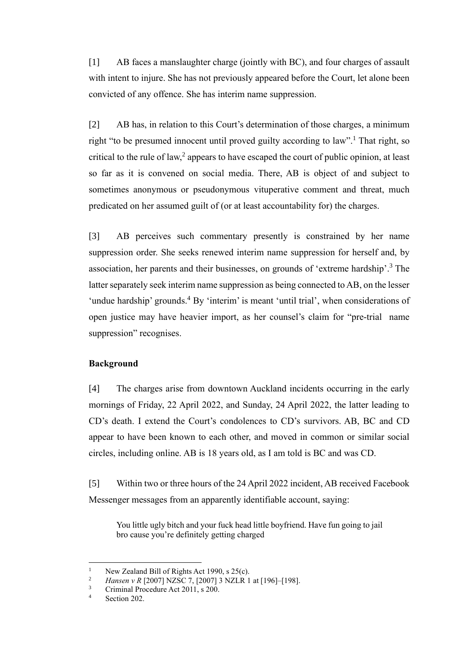[1] AB faces a manslaughter charge (jointly with BC), and four charges of assault with intent to injure. She has not previously appeared before the Court, let alone been convicted of any offence. She has interim name suppression.

[2] AB has, in relation to this Court's determination of those charges, a minimum right "to be presumed innocent until proved guilty according to law".<sup>1</sup> That right, so critical to the rule of law,<sup>2</sup> appears to have escaped the court of public opinion, at least so far as it is convened on social media. There, AB is object of and subject to sometimes anonymous or pseudonymous vituperative comment and threat, much predicated on her assumed guilt of (or at least accountability for) the charges.

[3] AB perceives such commentary presently is constrained by her name suppression order. She seeks renewed interim name suppression for herself and, by association, her parents and their businesses, on grounds of 'extreme hardship'. <sup>3</sup> The latter separately seek interim name suppression as being connected to AB, on the lesser 'undue hardship' grounds.<sup>4</sup> By 'interim' is meant 'until trial', when considerations of open justice may have heavier import, as her counsel's claim for "pre-trial name suppression" recognises.

# **Background**

[4] The charges arise from downtown Auckland incidents occurring in the early mornings of Friday, 22 April 2022, and Sunday, 24 April 2022, the latter leading to CD's death. I extend the Court's condolences to CD's survivors. AB, BC and CD appear to have been known to each other, and moved in common or similar social circles, including online. AB is 18 years old, as I am told is BC and was CD.

<span id="page-1-0"></span>[5] Within two or three hours of the 24 April 2022 incident, AB received Facebook Messenger messages from an apparently identifiable account, saying:

You little ugly bitch and your fuck head little boyfriend. Have fun going to jail bro cause you're definitely getting charged

<sup>&</sup>lt;sup>1</sup> New Zealand Bill of Rights Act 1990, s 25(c).<br><sup>2</sup> Hansen v B [2007] NZSC 7, [2007] <sup>2</sup> NZJ B 1.

<sup>&</sup>lt;sup>2</sup> *Hansen v R* [2007] NZSC 7, [2007] 3 NZLR 1 at [196]–[198].<br><sup>3</sup> Criminal Procedure Act 2011, s 200

 $\frac{3}{4}$  Criminal Procedure Act 2011, s 200.

Section 202.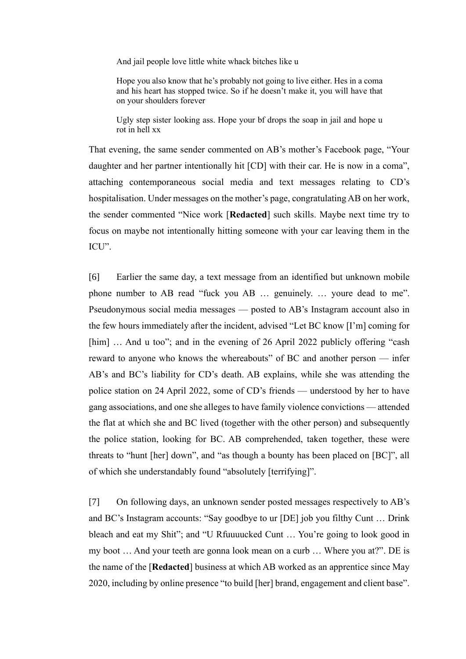And jail people love little white whack bitches like u

Hope you also know that he's probably not going to live either. Hes in a coma and his heart has stopped twice. So if he doesn't make it, you will have that on your shoulders forever

Ugly step sister looking ass. Hope your bf drops the soap in jail and hope u rot in hell xx

That evening, the same sender commented on AB's mother's Facebook page, "Your daughter and her partner intentionally hit [CD] with their car. He is now in a coma", attaching contemporaneous social media and text messages relating to CD's hospitalisation. Under messages on the mother's page, congratulating AB on her work, the sender commented "Nice work [**Redacted**] such skills. Maybe next time try to focus on maybe not intentionally hitting someone with your car leaving them in the ICU".

[6] Earlier the same day, a text message from an identified but unknown mobile phone number to AB read "fuck you AB … genuinely. … youre dead to me". Pseudonymous social media messages — posted to AB's Instagram account also in the few hours immediately after the incident, advised "Let BC know [I'm] coming for [him] ... And u too"; and in the evening of 26 April 2022 publicly offering "cash" reward to anyone who knows the whereabouts" of BC and another person — infer AB's and BC's liability for CD's death. AB explains, while she was attending the police station on 24 April 2022, some of CD's friends — understood by her to have gang associations, and one she alleges to have family violence convictions — attended the flat at which she and BC lived (together with the other person) and subsequently the police station, looking for BC. AB comprehended, taken together, these were threats to "hunt [her] down", and "as though a bounty has been placed on [BC]", all of which she understandably found "absolutely [terrifying]".

[7] On following days, an unknown sender posted messages respectively to AB's and BC's Instagram accounts: "Say goodbye to ur [DE] job you filthy Cunt … Drink bleach and eat my Shit"; and "U Rfuuuucked Cunt … You're going to look good in my boot … And your teeth are gonna look mean on a curb … Where you at?". DE is the name of the [**Redacted**] business at which AB worked as an apprentice since May 2020, including by online presence "to build [her] brand, engagement and client base".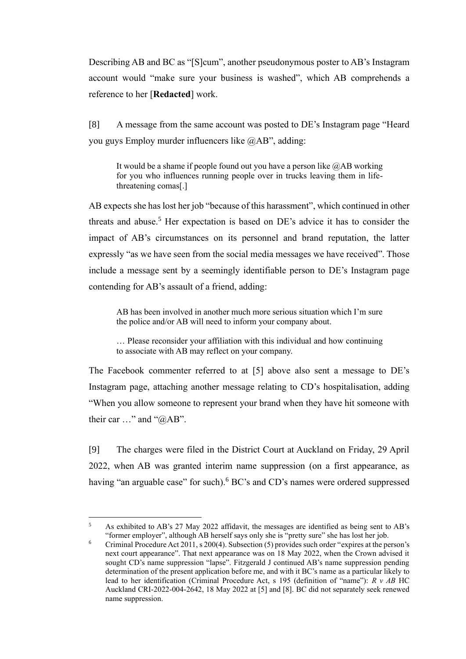Describing AB and BC as "[S]cum", another pseudonymous poster to AB's Instagram account would "make sure your business is washed", which AB comprehends a reference to her [**Redacted**] work.

[8] A message from the same account was posted to DE's Instagram page "Heard you guys Employ murder influencers like @AB", adding:

It would be a shame if people found out you have a person like  $@AB$  working for you who influences running people over in trucks leaving them in lifethreatening comas[.]

AB expects she has lost her job "because of this harassment", which continued in other threats and abuse. <sup>5</sup> Her expectation is based on DE's advice it has to consider the impact of AB's circumstances on its personnel and brand reputation, the latter expressly "as we have seen from the social media messages we have received". Those include a message sent by a seemingly identifiable person to DE's Instagram page contending for AB's assault of a friend, adding:

AB has been involved in another much more serious situation which I'm sure the police and/or AB will need to inform your company about.

… Please reconsider your affiliation with this individual and how continuing to associate with AB may reflect on your company.

The Facebook commenter referred to at [\[5\] above](#page-1-0) also sent a message to DE's Instagram page, attaching another message relating to CD's hospitalisation, adding "When you allow someone to represent your brand when they have hit someone with their car …" and "@AB".

[9] The charges were filed in the District Court at Auckland on Friday, 29 April 2022, when AB was granted interim name suppression (on a first appearance, as having "an arguable case" for such). <sup>6</sup> BC's and CD's names were ordered suppressed

<sup>5</sup> As exhibited to AB's 27 May 2022 affidavit, the messages are identified as being sent to AB's "former employer", although AB herself says only she is "pretty sure" she has lost her job.

<sup>&</sup>lt;sup>6</sup> Criminal Procedure Act 2011, s 200(4). Subsection (5) provides such order "expires at the person's next court appearance". That next appearance was on 18 May 2022, when the Crown advised it sought CD's name suppression "lapse". Fitzgerald J continued AB's name suppression pending determination of the present application before me, and with it BC's name as a particular likely to lead to her identification (Criminal Procedure Act, s 195 (definition of "name"): *R v AB* HC Auckland CRI-2022-004-2642, 18 May 2022 at [5] and [8]. BC did not separately seek renewed name suppression.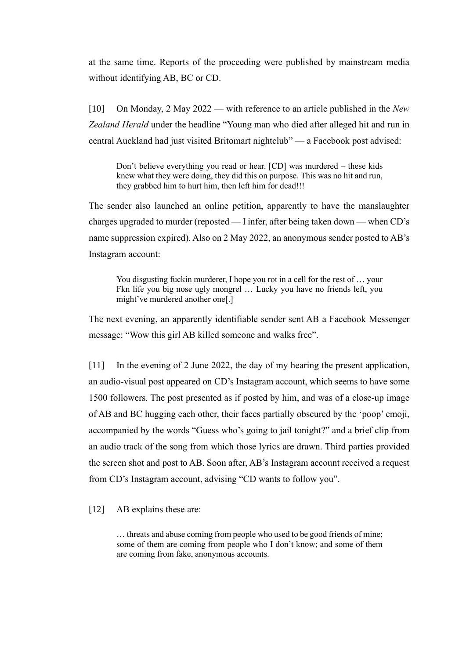at the same time. Reports of the proceeding were published by mainstream media without identifying AB, BC or CD.

[10] On Monday, 2 May 2022 — with reference to an article published in the *New Zealand Herald* under the headline "Young man who died after alleged hit and run in central Auckland had just visited Britomart nightclub" — a Facebook post advised:

Don't believe everything you read or hear. [CD] was murdered – these kids knew what they were doing, they did this on purpose. This was no hit and run, they grabbed him to hurt him, then left him for dead!!!

The sender also launched an online petition, apparently to have the manslaughter charges upgraded to murder (reposted — I infer, after being taken down — when CD's name suppression expired). Also on 2 May 2022, an anonymous sender posted to AB's Instagram account:

You disgusting fuckin murderer, I hope you rot in a cell for the rest of … your Fkn life you big nose ugly mongrel … Lucky you have no friends left, you might've murdered another one[.]

The next evening, an apparently identifiable sender sent AB a Facebook Messenger message: "Wow this girl AB killed someone and walks free".

[11] In the evening of 2 June 2022, the day of my hearing the present application, an audio-visual post appeared on CD's Instagram account, which seems to have some 1500 followers. The post presented as if posted by him, and was of a close-up image of AB and BC hugging each other, their faces partially obscured by the 'poop' emoji, accompanied by the words "Guess who's going to jail tonight?" and a brief clip from an audio track of the song from which those lyrics are drawn. Third parties provided the screen shot and post to AB. Soon after, AB's Instagram account received a request from CD's Instagram account, advising "CD wants to follow you".

[12] AB explains these are:

… threats and abuse coming from people who used to be good friends of mine; some of them are coming from people who I don't know; and some of them are coming from fake, anonymous accounts.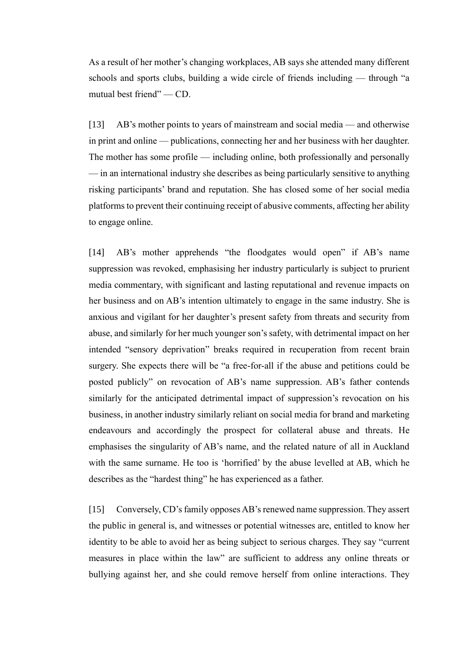As a result of her mother's changing workplaces, AB says she attended many different schools and sports clubs, building a wide circle of friends including — through "a mutual best friend" — CD.

[13] AB's mother points to years of mainstream and social media — and otherwise in print and online — publications, connecting her and her business with her daughter. The mother has some profile — including online, both professionally and personally — in an international industry she describes as being particularly sensitive to anything risking participants' brand and reputation. She has closed some of her social media platforms to prevent their continuing receipt of abusive comments, affecting her ability to engage online.

[14] AB's mother apprehends "the floodgates would open" if AB's name suppression was revoked, emphasising her industry particularly is subject to prurient media commentary, with significant and lasting reputational and revenue impacts on her business and on AB's intention ultimately to engage in the same industry. She is anxious and vigilant for her daughter's present safety from threats and security from abuse, and similarly for her much younger son's safety, with detrimental impact on her intended "sensory deprivation" breaks required in recuperation from recent brain surgery. She expects there will be "a free-for-all if the abuse and petitions could be posted publicly" on revocation of AB's name suppression. AB's father contends similarly for the anticipated detrimental impact of suppression's revocation on his business, in another industry similarly reliant on social media for brand and marketing endeavours and accordingly the prospect for collateral abuse and threats. He emphasises the singularity of AB's name, and the related nature of all in Auckland with the same surname. He too is 'horrified' by the abuse levelled at AB, which he describes as the "hardest thing" he has experienced as a father.

[15] Conversely, CD's family opposes AB's renewed name suppression. They assert the public in general is, and witnesses or potential witnesses are, entitled to know her identity to be able to avoid her as being subject to serious charges. They say "current measures in place within the law" are sufficient to address any online threats or bullying against her, and she could remove herself from online interactions. They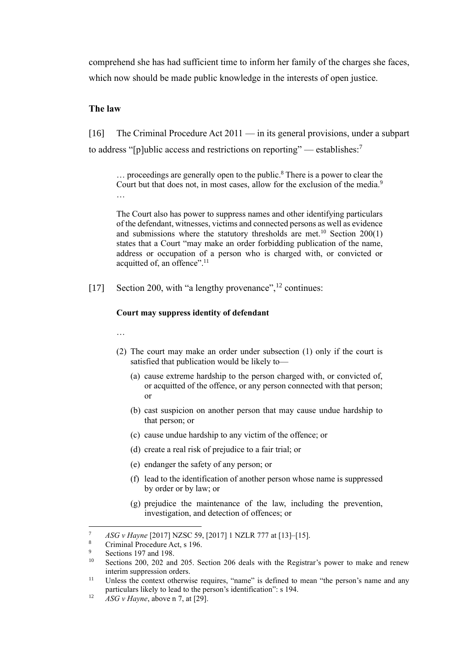comprehend she has had sufficient time to inform her family of the charges she faces, which now should be made public knowledge in the interests of open justice.

## **The law**

[16] The Criminal Procedure Act 2011 — in its general provisions, under a subpart to address "[p]ublic access and restrictions on reporting" — establishes:<sup>7</sup>

<span id="page-6-0"></span> $\ldots$  proceedings are generally open to the public.<sup>8</sup> There is a power to clear the Court but that does not, in most cases, allow for the exclusion of the media.<sup>9</sup> …

The Court also has power to suppress names and other identifying particulars of the defendant, witnesses, victims and connected persons as well as evidence and submissions where the statutory thresholds are met.<sup>10</sup> Section  $200(1)$ states that a Court "may make an order forbidding publication of the name, address or occupation of a person who is charged with, or convicted or acquitted of, an offence".<sup>11</sup>

[17] Section 200, with "a lengthy provenance",<sup>12</sup> continues:

#### **Court may suppress identity of defendant**

…

- (2) The court may make an order under subsection (1) only if the court is satisfied that publication would be likely to—
	- (a) cause extreme hardship to the person charged with, or convicted of, or acquitted of the offence, or any person connected with that person; or
	- (b) cast suspicion on another person that may cause undue hardship to that person; or
	- (c) cause undue hardship to any victim of the offence; or
	- (d) create a real risk of prejudice to a fair trial; or
	- (e) endanger the safety of any person; or
	- (f) lead to the identification of another person whose name is suppressed by order or by law; or
	- (g) prejudice the maintenance of the law, including the prevention, investigation, and detection of offences; or

<sup>7</sup> *ASG v Hayne* [2017] NZSC 59, [2017] 1 NZLR 777 at [13]–[15].

Criminal Procedure Act, s 196.

 $\frac{9}{10}$  Sections 197 and 198.

Sections 200, 202 and 205. Section 206 deals with the Registrar's power to make and renew interim suppression orders.

<sup>&</sup>lt;sup>11</sup> Unless the context otherwise requires, "name" is defined to mean "the person's name and any particulars likely to lead to the person's identification": s 194.

<sup>&</sup>lt;sup>12</sup> *ASG v Hayne*, above n [7,](#page-6-0) at [29].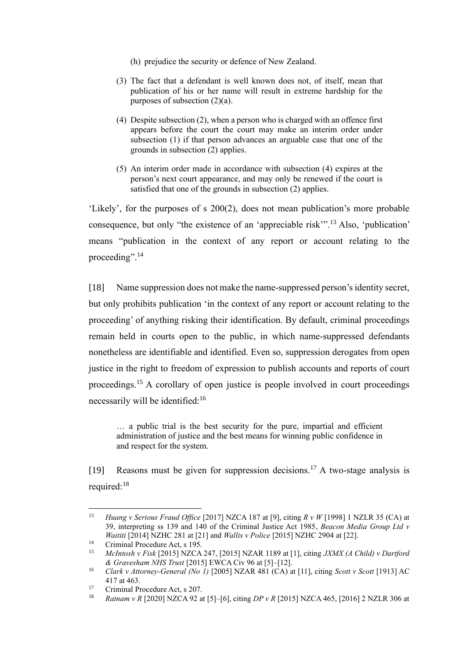- (h) prejudice the security or defence of New Zealand.
- (3) The fact that a defendant is well known does not, of itself, mean that publication of his or her name will result in extreme hardship for the purposes of subsection (2)(a).
- (4) Despite subsection (2), when a person who is charged with an offence first appears before the court the court may make an interim order under subsection (1) if that person advances an arguable case that one of the grounds in subsection (2) applies.
- (5) An interim order made in accordance with subsection (4) expires at the person's next court appearance, and may only be renewed if the court is satisfied that one of the grounds in subsection (2) applies.

'Likely', for the purposes of s 200(2), does not mean publication's more probable consequence, but only "the existence of an 'appreciable risk'".<sup>13</sup> Also, 'publication' means "publication in the context of any report or account relating to the proceeding".<sup>14</sup>

[18] Name suppression does not make the name-suppressed person's identity secret, but only prohibits publication 'in the context of any report or account relating to the proceeding' of anything risking their identification. By default, criminal proceedings remain held in courts open to the public, in which name-suppressed defendants nonetheless are identifiable and identified. Even so, suppression derogates from open justice in the right to freedom of expression to publish accounts and reports of court proceedings.<sup>15</sup> A corollary of open justice is people involved in court proceedings necessarily will be identified:<sup>16</sup>

… a public trial is the best security for the pure, impartial and efficient administration of justice and the best means for winning public confidence in and respect for the system.

[19] Reasons must be given for suppression decisions.<sup>17</sup> A two-stage analysis is required:<sup>18</sup>

<sup>13</sup> *Huang v Serious Fraud Office* [2017] NZCA 187 at [9], citing *R v W* [1998] 1 NZLR 35 (CA) at 39, interpreting ss 139 and 140 of the Criminal Justice Act 1985, *Beacon Media Group Ltd v Waititi* [2014] NZHC 281 at [21] and *Wallis v Police* [2015] NZHC 2904 at [22].

<sup>&</sup>lt;sup>14</sup> Criminal Procedure Act, s 195.

<sup>15</sup> *McIntosh v Fisk* [2015] NZCA 247, [2015] NZAR 1189 at [1], citing *JXMX (A Child) v Dartford & Gravesham NHS Trust* [2015] EWCA Civ 96 at [5]–[12].

<sup>16</sup> *Clark v Attorney-General (No 1)* [2005] NZAR 481 (CA) at [11], citing *Scott v Scott* [1913] AC 417 at 463.

<sup>17</sup> Criminal Procedure Act, s 207.

<sup>18</sup> *Ratnam v R* [2020] NZCA 92 at [5]–[6], citing *DP v R* [2015] NZCA 465, [2016] 2 NZLR 306 at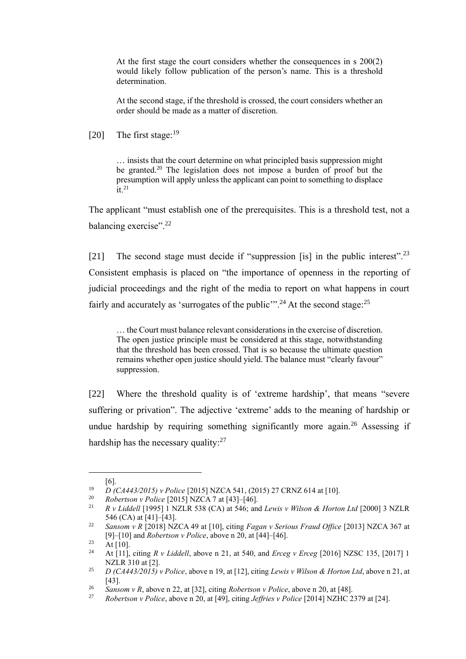At the first stage the court considers whether the consequences in s 200(2) would likely follow publication of the person's name. This is a threshold determination.

<span id="page-8-2"></span>At the second stage, if the threshold is crossed, the court considers whether an order should be made as a matter of discretion.

[20] The first stage:  $19$ 

<span id="page-8-1"></span><span id="page-8-0"></span>… insists that the court determine on what principled basis suppression might be granted.<sup>20</sup> The legislation does not impose a burden of proof but the presumption will apply unless the applicant can point to something to displace  $\frac{1}{1}$  21

<span id="page-8-3"></span>The applicant "must establish one of the prerequisites. This is a threshold test, not a balancing exercise".<sup>22</sup>

[21] The second stage must decide if "suppression [is] in the public interest".<sup>23</sup> Consistent emphasis is placed on "the importance of openness in the reporting of judicial proceedings and the right of the media to report on what happens in court fairly and accurately as 'surrogates of the public'".<sup>24</sup> At the second stage:<sup>25</sup>

… the Court must balance relevant considerations in the exercise of discretion. The open justice principle must be considered at this stage, notwithstanding that the threshold has been crossed. That is so because the ultimate question remains whether open justice should yield. The balance must "clearly favour" suppression.

[22] Where the threshold quality is of 'extreme hardship', that means "severe suffering or privation". The adjective 'extreme' adds to the meaning of hardship or undue hardship by requiring something significantly more again.<sup>26</sup> Assessing if hardship has the necessary quality: $27$ 

<sup>[6].</sup>

<sup>19</sup> *D (CA443/2015) v Police* [2015] NZCA 541, (2015) 27 CRNZ 614 at [10].

<sup>20</sup> *Robertson v Police* [2015] NZCA 7 at [43]–[46].

<sup>21</sup> *R v Liddell* [1995] 1 NZLR 538 (CA) at 546; and *Lewis v Wilson & Horton Ltd* [2000] 3 NZLR 546 (CA) at [41]–[43].

<sup>22</sup> *Sansom v R* [2018] NZCA 49 at [10], citing *Fagan v Serious Fraud Office* [2013] NZCA 367 at [9]–[10] and *Robertson v Police*, above [n 20,](#page-8-0) at [44]–[46].

 $23$  At [10].

<sup>24</sup> At [11], citing *R v Liddell*, above n [21,](#page-8-1) at 540, and *Erceg v Erceg* [2016] NZSC 135, [2017] 1 NZLR 310 at [2].

<sup>25</sup> *D (CA443/2015) v Police*, above [n 19,](#page-8-2) at [12], citing *Lewis v Wilson & Horton Ltd*, above n [21,](#page-8-1) at [43].

<sup>&</sup>lt;sup>26</sup> *Sansom v R*, above n [22,](#page-8-3) at [32], citing *Robertson v Police*, above n [20,](#page-8-0) at [48].<br><sup>27</sup> *Robertson v Police*, above n 20, at [49], citing *Leffries v Police* [2014] NZHC 2

<sup>27</sup> *Robertson v Police*, above [n 20,](#page-8-0) at [49], citing *Jeffries v Police* [2014] NZHC 2379 at [24].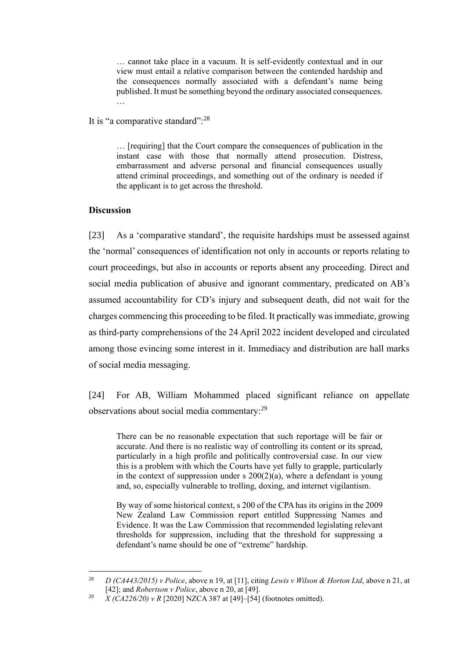… cannot take place in a vacuum. It is self-evidently contextual and in our view must entail a relative comparison between the contended hardship and the consequences normally associated with a defendant's name being published. It must be something beyond the ordinary associated consequences. …

#### It is "a comparative standard":<sup>28</sup>

… [requiring] that the Court compare the consequences of publication in the instant case with those that normally attend prosecution. Distress, embarrassment and adverse personal and financial consequences usually attend criminal proceedings, and something out of the ordinary is needed if the applicant is to get across the threshold.

### **Discussion**

[23] As a 'comparative standard', the requisite hardships must be assessed against the 'normal' consequences of identification not only in accounts or reports relating to court proceedings, but also in accounts or reports absent any proceeding. Direct and social media publication of abusive and ignorant commentary, predicated on AB's assumed accountability for CD's injury and subsequent death, did not wait for the charges commencing this proceeding to be filed. It practically was immediate, growing as third-party comprehensions of the 24 April 2022 incident developed and circulated among those evincing some interest in it. Immediacy and distribution are hall marks of social media messaging.

[24] For AB, William Mohammed placed significant reliance on appellate observations about social media commentary:<sup>29</sup>

There can be no reasonable expectation that such reportage will be fair or accurate. And there is no realistic way of controlling its content or its spread, particularly in a high profile and politically controversial case. In our view this is a problem with which the Courts have yet fully to grapple, particularly in the context of suppression under s  $200(2)(a)$ , where a defendant is young and, so, especially vulnerable to trolling, doxing, and internet vigilantism.

By way of some historical context, s 200 of the CPA has its origins in the 2009 New Zealand Law Commission report entitled Suppressing Names and Evidence. It was the Law Commission that recommended legislating relevant thresholds for suppression, including that the threshold for suppressing a defendant's name should be one of "extreme" hardship.

<sup>28</sup> *D (CA443/2015) v Police*, above n [19,](#page-8-2) at [11], citing *Lewis v Wilson & Horton Ltd*, above n [21,](#page-8-1) at [42]; and *Robertson v Police*, above [n 20,](#page-8-0) at [49].

<sup>&</sup>lt;sup>29</sup> *X* (CA226/20) *v R* [2020] NZCA 387 at [49]–[54] (footnotes omitted).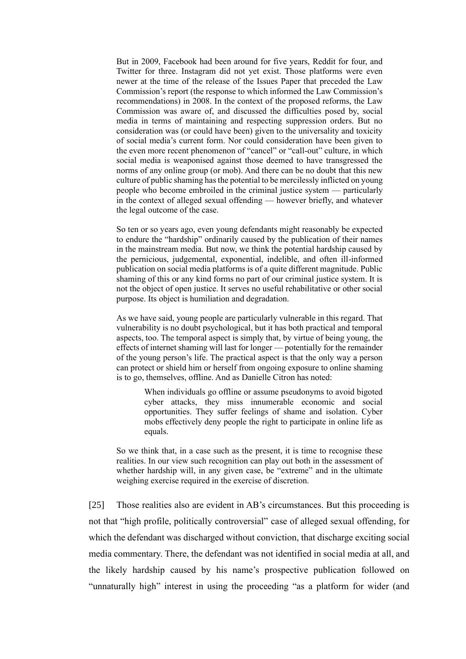But in 2009, Facebook had been around for five years, Reddit for four, and Twitter for three. Instagram did not yet exist. Those platforms were even newer at the time of the release of the Issues Paper that preceded the Law Commission's report (the response to which informed the Law Commission's recommendations) in 2008. In the context of the proposed reforms, the Law Commission was aware of, and discussed the difficulties posed by, social media in terms of maintaining and respecting suppression orders. But no consideration was (or could have been) given to the universality and toxicity of social media's current form. Nor could consideration have been given to the even more recent phenomenon of "cancel" or "call-out" culture, in which social media is weaponised against those deemed to have transgressed the norms of any online group (or mob). And there can be no doubt that this new culture of public shaming has the potential to be mercilessly inflicted on young people who become embroiled in the criminal justice system — particularly in the context of alleged sexual offending — however briefly, and whatever the legal outcome of the case.

So ten or so years ago, even young defendants might reasonably be expected to endure the "hardship" ordinarily caused by the publication of their names in the mainstream media. But now, we think the potential hardship caused by the pernicious, judgemental, exponential, indelible, and often ill-informed publication on social media platforms is of a quite different magnitude. Public shaming of this or any kind forms no part of our criminal justice system. It is not the object of open justice. It serves no useful rehabilitative or other social purpose. Its object is humiliation and degradation.

As we have said, young people are particularly vulnerable in this regard. That vulnerability is no doubt psychological, but it has both practical and temporal aspects, too. The temporal aspect is simply that, by virtue of being young, the effects of internet shaming will last for longer — potentially for the remainder of the young person's life. The practical aspect is that the only way a person can protect or shield him or herself from ongoing exposure to online shaming is to go, themselves, offline. And as Danielle Citron has noted:

> When individuals go offline or assume pseudonyms to avoid bigoted cyber attacks, they miss innumerable economic and social opportunities. They suffer feelings of shame and isolation. Cyber mobs effectively deny people the right to participate in online life as equals.

So we think that, in a case such as the present, it is time to recognise these realities. In our view such recognition can play out both in the assessment of whether hardship will, in any given case, be "extreme" and in the ultimate weighing exercise required in the exercise of discretion.

[25] Those realities also are evident in AB's circumstances. But this proceeding is not that "high profile, politically controversial" case of alleged sexual offending, for which the defendant was discharged without conviction, that discharge exciting social media commentary. There, the defendant was not identified in social media at all, and the likely hardship caused by his name's prospective publication followed on "unnaturally high" interest in using the proceeding "as a platform for wider (and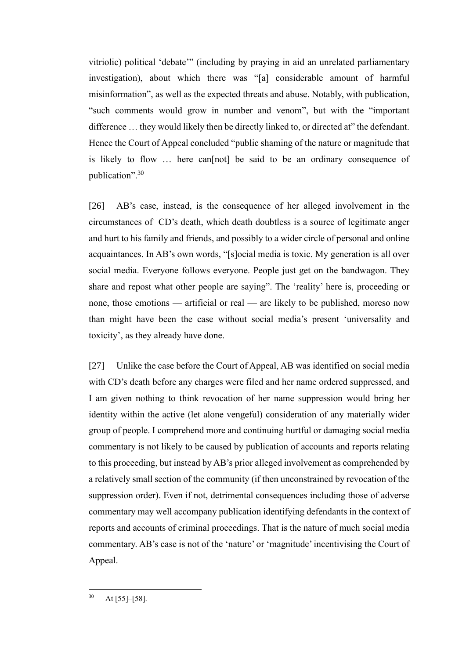vitriolic) political 'debate'" (including by praying in aid an unrelated parliamentary investigation), about which there was "[a] considerable amount of harmful misinformation", as well as the expected threats and abuse. Notably, with publication, "such comments would grow in number and venom", but with the "important difference … they would likely then be directly linked to, or directed at" the defendant. Hence the Court of Appeal concluded "public shaming of the nature or magnitude that is likely to flow … here can[not] be said to be an ordinary consequence of publication".<sup>30</sup>

[26] AB's case, instead, is the consequence of her alleged involvement in the circumstances of CD's death, which death doubtless is a source of legitimate anger and hurt to his family and friends, and possibly to a wider circle of personal and online acquaintances. In AB's own words, "[s]ocial media is toxic. My generation is all over social media. Everyone follows everyone. People just get on the bandwagon. They share and repost what other people are saying". The 'reality' here is, proceeding or none, those emotions — artificial or real — are likely to be published, moreso now than might have been the case without social media's present 'universality and toxicity', as they already have done.

[27] Unlike the case before the Court of Appeal, AB was identified on social media with CD's death before any charges were filed and her name ordered suppressed, and I am given nothing to think revocation of her name suppression would bring her identity within the active (let alone vengeful) consideration of any materially wider group of people. I comprehend more and continuing hurtful or damaging social media commentary is not likely to be caused by publication of accounts and reports relating to this proceeding, but instead by AB's prior alleged involvement as comprehended by a relatively small section of the community (if then unconstrained by revocation of the suppression order). Even if not, detrimental consequences including those of adverse commentary may well accompany publication identifying defendants in the context of reports and accounts of criminal proceedings. That is the nature of much social media commentary. AB's case is not of the 'nature' or 'magnitude' incentivising the Court of Appeal.

 $30$  At [55]–[58].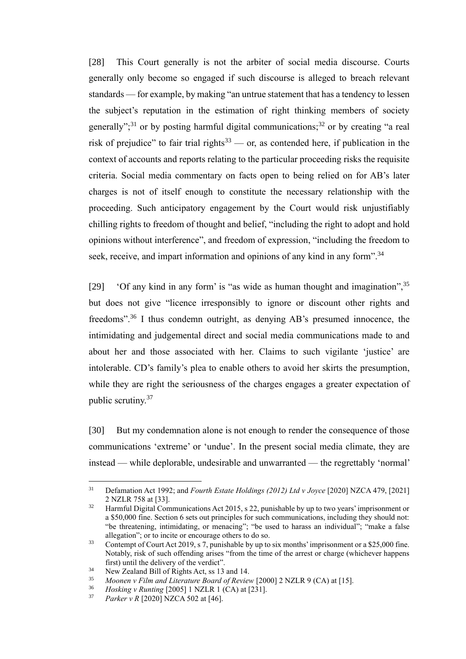[28] This Court generally is not the arbiter of social media discourse. Courts generally only become so engaged if such discourse is alleged to breach relevant standards — for example, by making "an untrue statement that has a tendency to lessen the subject's reputation in the estimation of right thinking members of society generally";<sup>31</sup> or by posting harmful digital communications;<sup>32</sup> or by creating "a real risk of prejudice" to fair trial rights<sup>33</sup> — or, as contended here, if publication in the context of accounts and reports relating to the particular proceeding risks the requisite criteria. Social media commentary on facts open to being relied on for AB's later charges is not of itself enough to constitute the necessary relationship with the proceeding. Such anticipatory engagement by the Court would risk unjustifiably chilling rights to freedom of thought and belief, "including the right to adopt and hold opinions without interference", and freedom of expression, "including the freedom to seek, receive, and impart information and opinions of any kind in any form".<sup>34</sup>

[29] 'Of any kind in any form' is "as wide as human thought and imagination",  $35$ but does not give "licence irresponsibly to ignore or discount other rights and freedoms".<sup>36</sup> I thus condemn outright, as denying AB's presumed innocence, the intimidating and judgemental direct and social media communications made to and about her and those associated with her. Claims to such vigilante 'justice' are intolerable. CD's family's plea to enable others to avoid her skirts the presumption, while they are right the seriousness of the charges engages a greater expectation of public scrutiny.<sup>37</sup>

[30] But my condemnation alone is not enough to render the consequence of those communications 'extreme' or 'undue'. In the present social media climate, they are instead — while deplorable, undesirable and unwarranted — the regrettably 'normal'

<sup>31</sup> Defamation Act 1992; and *Fourth Estate Holdings (2012) Ltd v Joyce* [2020] NZCA 479, [2021] 2 NZLR 758 at [33].

<sup>&</sup>lt;sup>32</sup> Harmful Digital Communications Act 2015, s 22, punishable by up to two years' imprisonment or a \$50,000 fine. Section 6 sets out principles for such communications, including they should not: "be threatening, intimidating, or menacing"; "be used to harass an individual"; "make a false allegation"; or to incite or encourage others to do so.

<sup>33</sup> Contempt of Court Act 2019, s 7, punishable by up to six months' imprisonment or a \$25,000 fine. Notably, risk of such offending arises "from the time of the arrest or charge (whichever happens first) until the delivery of the verdict".

<sup>&</sup>lt;sup>34</sup> New Zealand Bill of Rights Act, ss 13 and 14.<br> $\frac{35}{25}$  Moonan u Film and Literature Board of Bayian

<sup>&</sup>lt;sup>35</sup> *Moonen v Film and Literature Board of Review* [2000] 2 NZLR 9 (CA) at [15].<br><sup>36</sup> *Hosking v Punting* [2005] 1 NZI P 1 (CA) at [231]

<sup>36</sup> *Hosking v Runting* [2005] 1 NZLR 1 (CA) at [231].

*Parker v R* [2020] NZCA 502 at [46].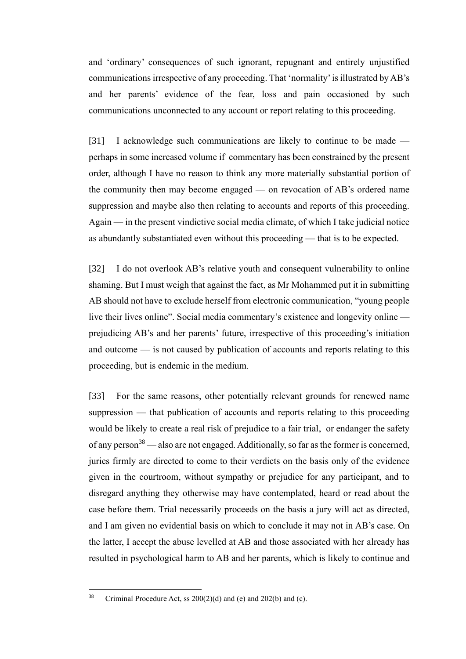and 'ordinary' consequences of such ignorant, repugnant and entirely unjustified communications irrespective of any proceeding. That 'normality' is illustrated by AB's and her parents' evidence of the fear, loss and pain occasioned by such communications unconnected to any account or report relating to this proceeding.

[31] I acknowledge such communications are likely to continue to be made perhaps in some increased volume if commentary has been constrained by the present order, although I have no reason to think any more materially substantial portion of the community then may become engaged — on revocation of AB's ordered name suppression and maybe also then relating to accounts and reports of this proceeding. Again — in the present vindictive social media climate, of which I take judicial notice as abundantly substantiated even without this proceeding — that is to be expected.

[32] I do not overlook AB's relative youth and consequent vulnerability to online shaming. But I must weigh that against the fact, as Mr Mohammed put it in submitting AB should not have to exclude herself from electronic communication, "young people live their lives online". Social media commentary's existence and longevity online prejudicing AB's and her parents' future, irrespective of this proceeding's initiation and outcome — is not caused by publication of accounts and reports relating to this proceeding, but is endemic in the medium.

[33] For the same reasons, other potentially relevant grounds for renewed name suppression — that publication of accounts and reports relating to this proceeding would be likely to create a real risk of prejudice to a fair trial, or endanger the safety of any person<sup>38</sup> — also are not engaged. Additionally, so far as the former is concerned, juries firmly are directed to come to their verdicts on the basis only of the evidence given in the courtroom, without sympathy or prejudice for any participant, and to disregard anything they otherwise may have contemplated, heard or read about the case before them. Trial necessarily proceeds on the basis a jury will act as directed, and I am given no evidential basis on which to conclude it may not in AB's case. On the latter, I accept the abuse levelled at AB and those associated with her already has resulted in psychological harm to AB and her parents, which is likely to continue and

<sup>&</sup>lt;sup>38</sup> Criminal Procedure Act, ss  $200(2)(d)$  and (e) and  $202(b)$  and (c).